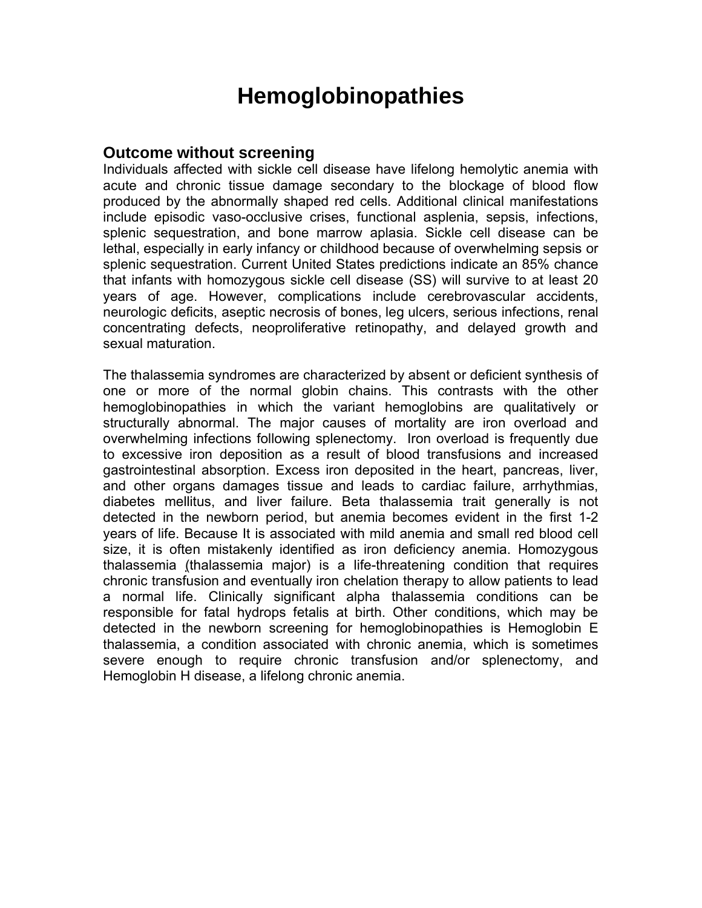# **Hemoglobinopathies**

#### **Outcome without screening**

Individuals affected with sickle cell disease have lifelong hemolytic anemia with acute and chronic tissue damage secondary to the blockage of blood flow produced by the abnormally shaped red cells. Additional clinical manifestations include episodic vaso-occlusive crises, functional asplenia, sepsis, infections, splenic sequestration, and bone marrow aplasia. Sickle cell disease can be lethal, especially in early infancy or childhood because of overwhelming sepsis or splenic sequestration. Current United States predictions indicate an 85% chance that infants with homozygous sickle cell disease (SS) will survive to at least 20 years of age. However, complications include cerebrovascular accidents, neurologic deficits, aseptic necrosis of bones, leg ulcers, serious infections, renal concentrating defects, neoproliferative retinopathy, and delayed growth and sexual maturation.

The thalassemia syndromes are characterized by absent or deficient synthesis of one or more of the normal globin chains. This contrasts with the other hemoglobinopathies in which the variant hemoglobins are qualitatively or structurally abnormal. The major causes of mortality are iron overload and overwhelming infections following splenectomy. Iron overload is frequently due to excessive iron deposition as a result of blood transfusions and increased gastrointestinal absorption. Excess iron deposited in the heart, pancreas, liver, and other organs damages tissue and leads to cardiac failure, arrhythmias, diabetes mellitus, and liver failure. Beta thalassemia trait generally is not detected in the newborn period, but anemia becomes evident in the first 1-2 years of life. Because It is associated with mild anemia and small red blood cell size, it is often mistakenly identified as iron deficiency anemia. Homozygous thalassemia (thalassemia major) is a life-threatening condition that requires chronic transfusion and eventually iron chelation therapy to allow patients to lead a normal life. Clinically significant alpha thalassemia conditions can be responsible for fatal hydrops fetalis at birth. Other conditions, which may be detected in the newborn screening for hemoglobinopathies is Hemoglobin E thalassemia, a condition associated with chronic anemia, which is sometimes severe enough to require chronic transfusion and/or splenectomy, and Hemoglobin H disease, a lifelong chronic anemia.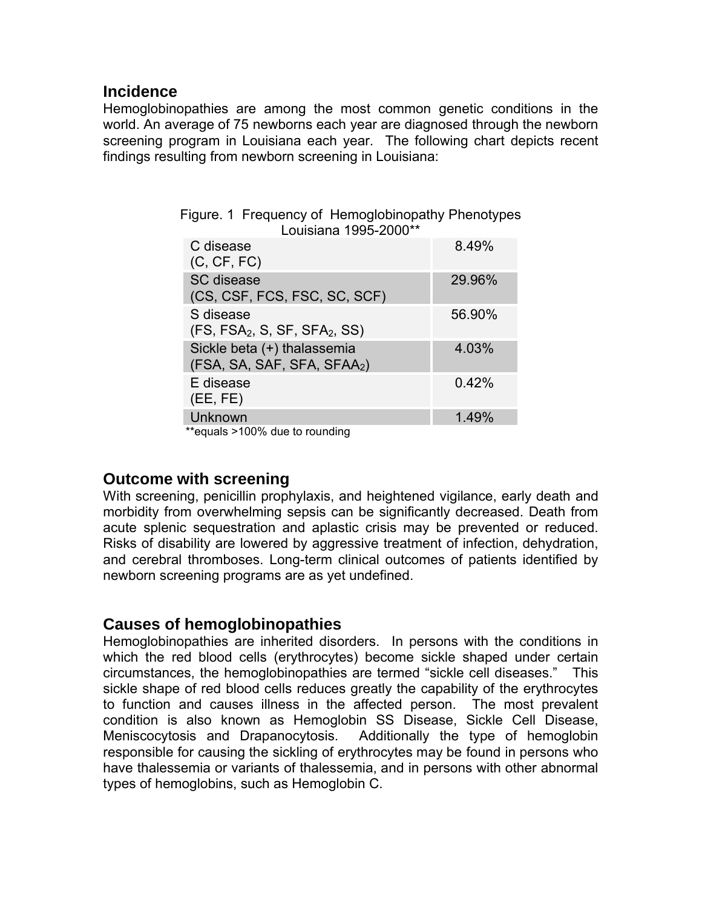### **Incidence**

Hemoglobinopathies are among the most common genetic conditions in the world. An average of 75 newborns each year are diagnosed through the newborn screening program in Louisiana each year. The following chart depicts recent findings resulting from newborn screening in Louisiana:

Figure. 1 Frequency of Hemoglobinopathy Phenotypes

| Louisiana 1995-2000**                                                  |        |
|------------------------------------------------------------------------|--------|
| C disease<br>(C, CF, FC)                                               | 8.49%  |
| SC disease<br>(CS, CSF, FCS, FSC, SC, SCF)                             | 29.96% |
| S disease<br>$(FS, FSA2, S, SF, SFA2, SS)$                             | 56.90% |
| Sickle beta (+) thalassemia<br>(FSA, SA, SAF, SFA, SFAA <sub>2</sub> ) | 4.03%  |
| E disease<br>(EE, FE)                                                  | 0.42%  |
| Unknown                                                                | 1.49%  |

\*\*equals >100% due to rounding

### **Outcome with screening**

With screening, penicillin prophylaxis, and heightened vigilance, early death and morbidity from overwhelming sepsis can be significantly decreased. Death from acute splenic sequestration and aplastic crisis may be prevented or reduced. Risks of disability are lowered by aggressive treatment of infection, dehydration, and cerebral thromboses. Long-term clinical outcomes of patients identified by newborn screening programs are as yet undefined.

## **Causes of hemoglobinopathies**

Hemoglobinopathies are inherited disorders. In persons with the conditions in which the red blood cells (erythrocytes) become sickle shaped under certain circumstances, the hemoglobinopathies are termed "sickle cell diseases." This sickle shape of red blood cells reduces greatly the capability of the erythrocytes to function and causes illness in the affected person. The most prevalent condition is also known as Hemoglobin SS Disease, Sickle Cell Disease, Meniscocytosis and Drapanocytosis. Additionally the type of hemoglobin responsible for causing the sickling of erythrocytes may be found in persons who have thalessemia or variants of thalessemia, and in persons with other abnormal types of hemoglobins, such as Hemoglobin C.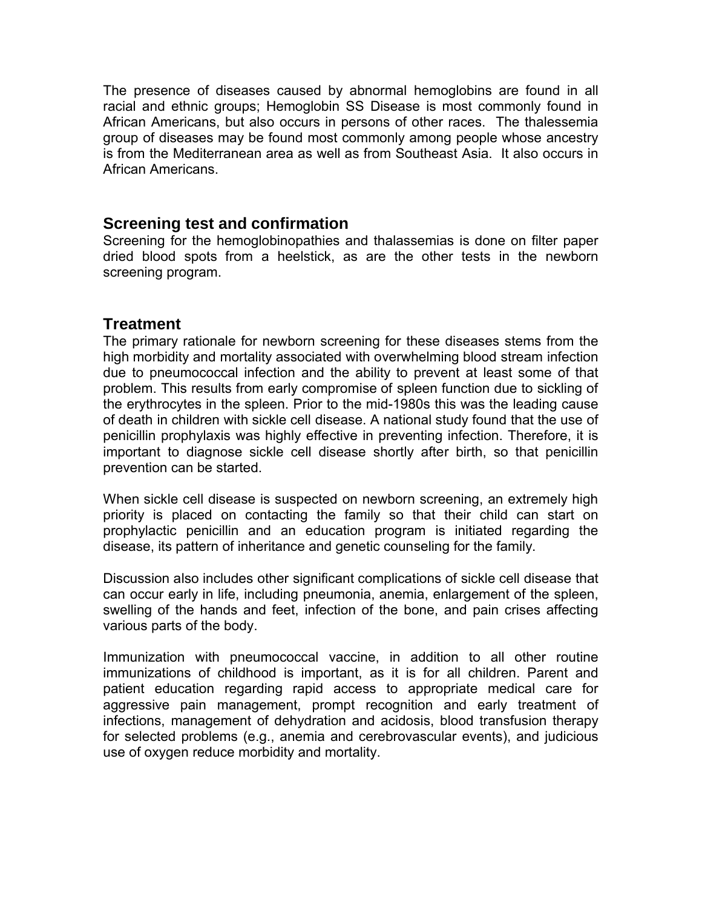The presence of diseases caused by abnormal hemoglobins are found in all racial and ethnic groups; Hemoglobin SS Disease is most commonly found in African Americans, but also occurs in persons of other races. The thalessemia group of diseases may be found most commonly among people whose ancestry is from the Mediterranean area as well as from Southeast Asia. It also occurs in African Americans.

### **Screening test and confirmation**

Screening for the hemoglobinopathies and thalassemias is done on filter paper dried blood spots from a heelstick, as are the other tests in the newborn screening program.

### **Treatment**

The primary rationale for newborn screening for these diseases stems from the high morbidity and mortality associated with overwhelming blood stream infection due to pneumococcal infection and the ability to prevent at least some of that problem. This results from early compromise of spleen function due to sickling of the erythrocytes in the spleen. Prior to the mid-1980s this was the leading cause of death in children with sickle cell disease. A national study found that the use of penicillin prophylaxis was highly effective in preventing infection. Therefore, it is important to diagnose sickle cell disease shortly after birth, so that penicillin prevention can be started.

When sickle cell disease is suspected on newborn screening, an extremely high priority is placed on contacting the family so that their child can start on prophylactic penicillin and an education program is initiated regarding the disease, its pattern of inheritance and genetic counseling for the family.

Discussion also includes other significant complications of sickle cell disease that can occur early in life, including pneumonia, anemia, enlargement of the spleen, swelling of the hands and feet, infection of the bone, and pain crises affecting various parts of the body.

Immunization with pneumococcal vaccine, in addition to all other routine immunizations of childhood is important, as it is for all children. Parent and patient education regarding rapid access to appropriate medical care for aggressive pain management, prompt recognition and early treatment of infections, management of dehydration and acidosis, blood transfusion therapy for selected problems (e.g., anemia and cerebrovascular events), and judicious use of oxygen reduce morbidity and mortality.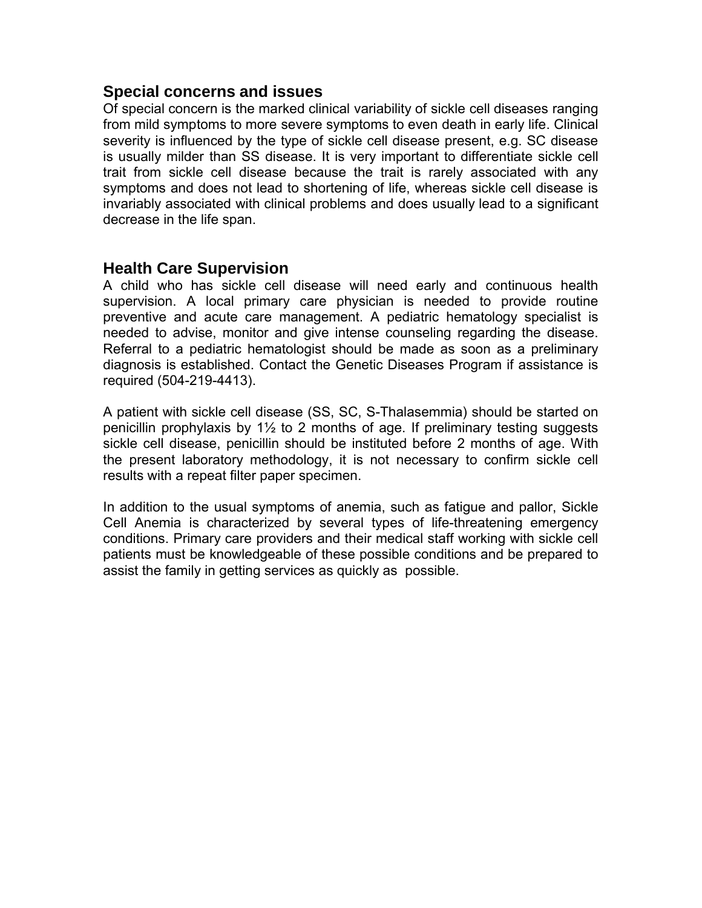## **Special concerns and issues**

Of special concern is the marked clinical variability of sickle cell diseases ranging from mild symptoms to more severe symptoms to even death in early life. Clinical severity is influenced by the type of sickle cell disease present, e.g. SC disease is usually milder than SS disease. It is very important to differentiate sickle cell trait from sickle cell disease because the trait is rarely associated with any symptoms and does not lead to shortening of life, whereas sickle cell disease is invariably associated with clinical problems and does usually lead to a significant decrease in the life span.

## **Health Care Supervision**

A child who has sickle cell disease will need early and continuous health supervision. A local primary care physician is needed to provide routine preventive and acute care management. A pediatric hematology specialist is needed to advise, monitor and give intense counseling regarding the disease. Referral to a pediatric hematologist should be made as soon as a preliminary diagnosis is established. Contact the Genetic Diseases Program if assistance is required (504-219-4413).

A patient with sickle cell disease (SS, SC, S-Thalasemmia) should be started on penicillin prophylaxis by 1½ to 2 months of age. If preliminary testing suggests sickle cell disease, penicillin should be instituted before 2 months of age. With the present laboratory methodology, it is not necessary to confirm sickle cell results with a repeat filter paper specimen.

In addition to the usual symptoms of anemia, such as fatigue and pallor, Sickle Cell Anemia is characterized by several types of life-threatening emergency conditions. Primary care providers and their medical staff working with sickle cell patients must be knowledgeable of these possible conditions and be prepared to assist the family in getting services as quickly as possible.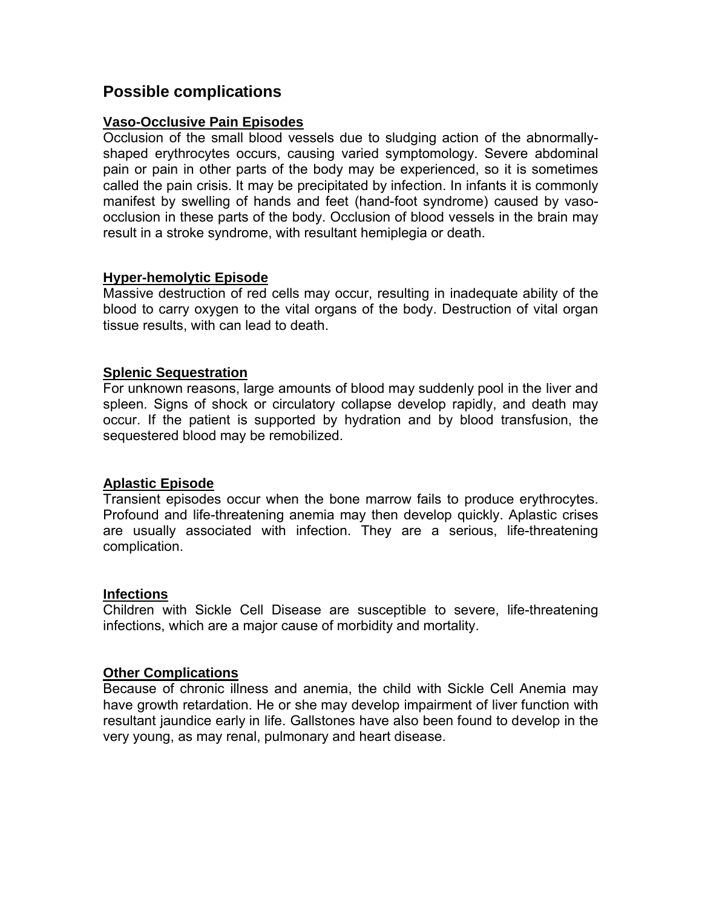## **Possible complications**

#### **Vaso-Occlusive Pain Episodes**

Occlusion of the small blood vessels due to sludging action of the abnormallyshaped erythrocytes occurs, causing varied symptomology. Severe abdominal pain or pain in other parts of the body may be experienced, so it is sometimes called the pain crisis. It may be precipitated by infection. In infants it is commonly manifest by swelling of hands and feet (hand-foot syndrome) caused by vasoocclusion in these parts of the body. Occlusion of blood vessels in the brain may result in a stroke syndrome, with resultant hemiplegia or death.

#### **Hyper-hemolytic Episode**

Massive destruction of red cells may occur, resulting in inadequate ability of the blood to carry oxygen to the vital organs of the body. Destruction of vital organ tissue results, with can lead to death.

#### **Splenic Sequestration**

For unknown reasons, large amounts of blood may suddenly pool in the liver and spleen. Signs of shock or circulatory collapse develop rapidly, and death may occur. If the patient is supported by hydration and by blood transfusion, the sequestered blood may be remobilized.

#### **Aplastic Episode**

Transient episodes occur when the bone marrow fails to produce erythrocytes. Profound and life-threatening anemia may then develop quickly. Aplastic crises are usually associated with infection. They are a serious, life-threatening complication.

#### **Infections**

Children with Sickle Cell Disease are susceptible to severe, life-threatening infections, which are a major cause of morbidity and mortality.

#### **Other Complications**

Because of chronic illness and anemia, the child with Sickle Cell Anemia may have growth retardation. He or she may develop impairment of liver function with resultant jaundice early in life. Gallstones have also been found to develop in the very young, as may renal, pulmonary and heart disease.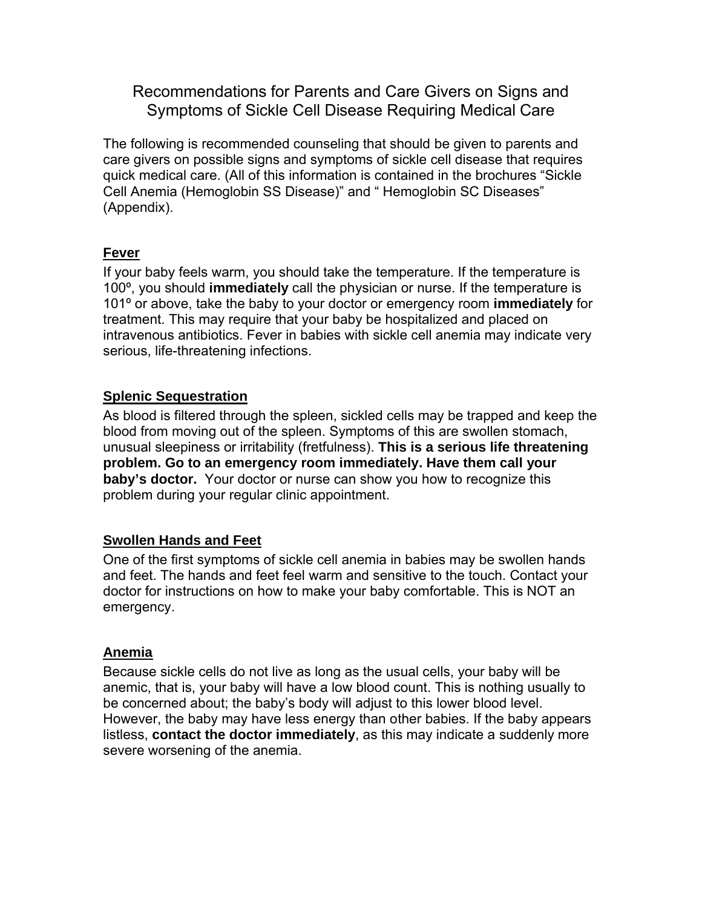## Recommendations for Parents and Care Givers on Signs and Symptoms of Sickle Cell Disease Requiring Medical Care

The following is recommended counseling that should be given to parents and care givers on possible signs and symptoms of sickle cell disease that requires quick medical care. (All of this information is contained in the brochures "Sickle Cell Anemia (Hemoglobin SS Disease)" and " Hemoglobin SC Diseases" (Appendix).

#### **Fever**

If your baby feels warm, you should take the temperature. If the temperature is 100º, you should **immediately** call the physician or nurse. If the temperature is 101º or above, take the baby to your doctor or emergency room **immediately** for treatment. This may require that your baby be hospitalized and placed on intravenous antibiotics. Fever in babies with sickle cell anemia may indicate very serious, life-threatening infections.

### **Splenic Sequestration**

As blood is filtered through the spleen, sickled cells may be trapped and keep the blood from moving out of the spleen. Symptoms of this are swollen stomach, unusual sleepiness or irritability (fretfulness). **This is a serious life threatening problem. Go to an emergency room immediately. Have them call your baby's doctor.** Your doctor or nurse can show you how to recognize this problem during your regular clinic appointment.

#### **Swollen Hands and Feet**

One of the first symptoms of sickle cell anemia in babies may be swollen hands and feet. The hands and feet feel warm and sensitive to the touch. Contact your doctor for instructions on how to make your baby comfortable. This is NOT an emergency.

#### **Anemia**

Because sickle cells do not live as long as the usual cells, your baby will be anemic, that is, your baby will have a low blood count. This is nothing usually to be concerned about; the baby's body will adjust to this lower blood level. However, the baby may have less energy than other babies. If the baby appears listless, **contact the doctor immediately**, as this may indicate a suddenly more severe worsening of the anemia.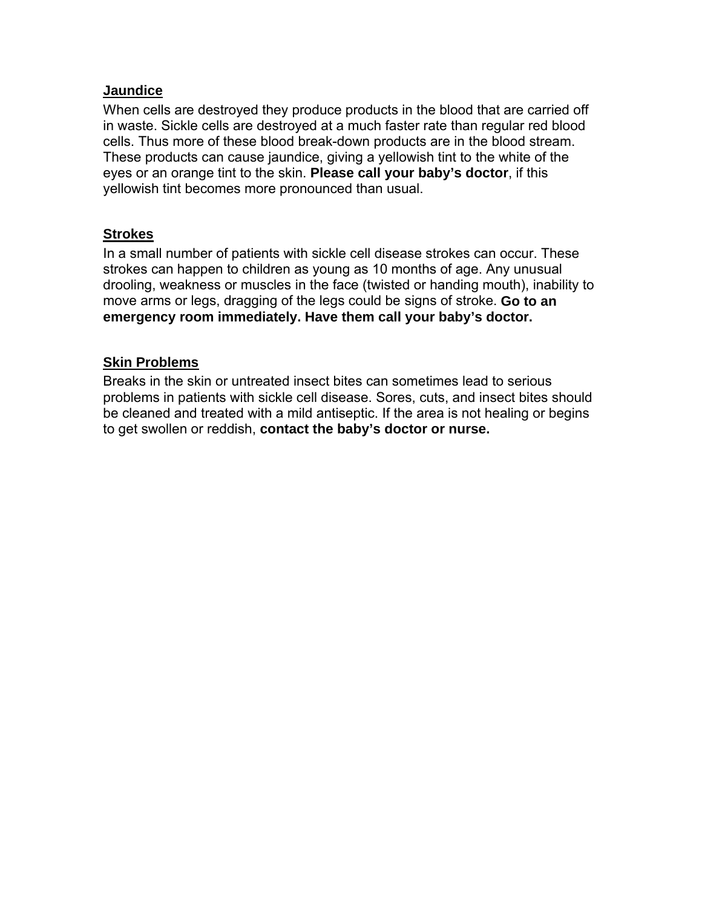#### **Jaundice**

When cells are destroyed they produce products in the blood that are carried off in waste. Sickle cells are destroyed at a much faster rate than regular red blood cells. Thus more of these blood break-down products are in the blood stream. These products can cause jaundice, giving a yellowish tint to the white of the eyes or an orange tint to the skin. **Please call your baby's doctor**, if this yellowish tint becomes more pronounced than usual.

#### **Strokes**

In a small number of patients with sickle cell disease strokes can occur. These strokes can happen to children as young as 10 months of age. Any unusual drooling, weakness or muscles in the face (twisted or handing mouth), inability to move arms or legs, dragging of the legs could be signs of stroke. **Go to an emergency room immediately. Have them call your baby's doctor.**

#### **Skin Problems**

Breaks in the skin or untreated insect bites can sometimes lead to serious problems in patients with sickle cell disease. Sores, cuts, and insect bites should be cleaned and treated with a mild antiseptic. If the area is not healing or begins to get swollen or reddish, **contact the baby's doctor or nurse.**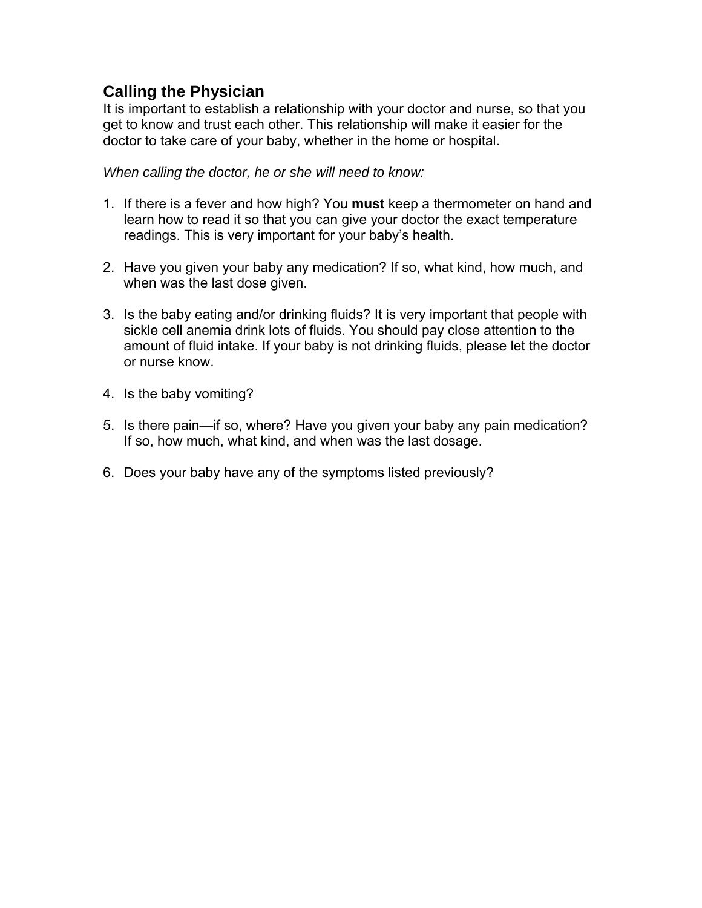# **Calling the Physician**

It is important to establish a relationship with your doctor and nurse, so that you get to know and trust each other. This relationship will make it easier for the doctor to take care of your baby, whether in the home or hospital.

*When calling the doctor, he or she will need to know:*

- 1. If there is a fever and how high? You **must** keep a thermometer on hand and learn how to read it so that you can give your doctor the exact temperature readings. This is very important for your baby's health.
- 2. Have you given your baby any medication? If so, what kind, how much, and when was the last dose given.
- 3. Is the baby eating and/or drinking fluids? It is very important that people with sickle cell anemia drink lots of fluids. You should pay close attention to the amount of fluid intake. If your baby is not drinking fluids, please let the doctor or nurse know.
- 4. Is the baby vomiting?
- 5. Is there pain—if so, where? Have you given your baby any pain medication? If so, how much, what kind, and when was the last dosage.
- 6. Does your baby have any of the symptoms listed previously?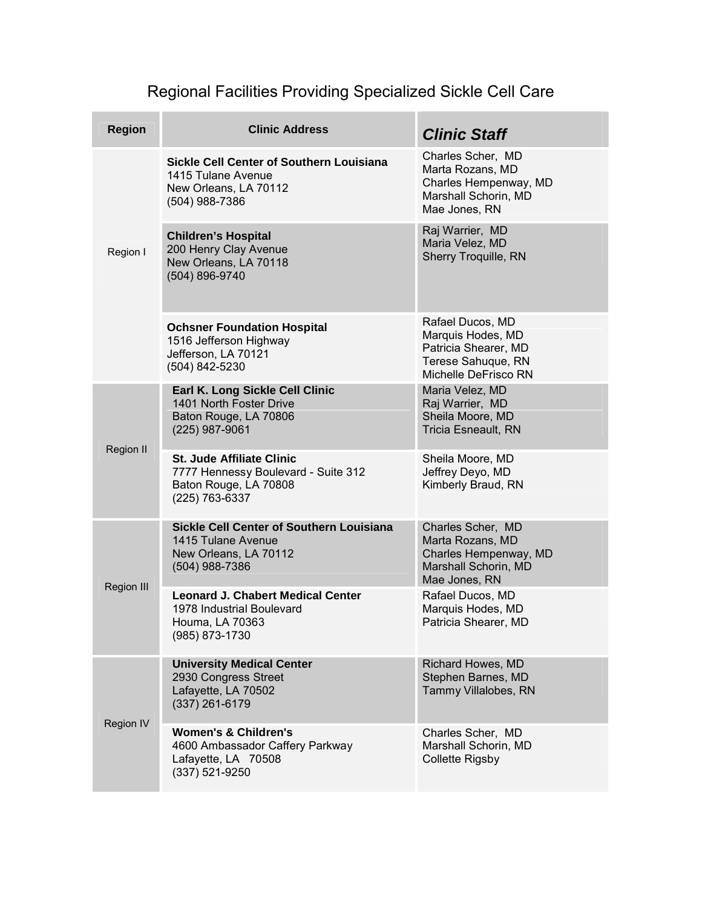# Regional Facilities Providing Specialized Sickle Cell Care

| <b>Region</b>     | <b>Clinic Address</b>                                                                                              | <b>Clinic Staff</b>                                                                                         |
|-------------------|--------------------------------------------------------------------------------------------------------------------|-------------------------------------------------------------------------------------------------------------|
| Region I          | <b>Sickle Cell Center of Southern Louisiana</b><br>1415 Tulane Avenue<br>New Orleans, LA 70112<br>(504) 988-7386   | Charles Scher, MD<br>Marta Rozans, MD<br>Charles Hempenway, MD<br>Marshall Schorin, MD<br>Mae Jones, RN     |
|                   | <b>Children's Hospital</b><br>200 Henry Clay Avenue<br>New Orleans, LA 70118<br>(504) 896-9740                     | Raj Warrier, MD<br>Maria Velez, MD<br>Sherry Troquille, RN                                                  |
|                   | <b>Ochsner Foundation Hospital</b><br>1516 Jefferson Highway<br>Jefferson, LA 70121<br>(504) 842-5230              | Rafael Ducos, MD<br>Marquis Hodes, MD<br>Patricia Shearer, MD<br>Terese Sahuque, RN<br>Michelle DeFrisco RN |
| <b>Region II</b>  | Earl K. Long Sickle Cell Clinic<br>1401 North Foster Drive<br>Baton Rouge, LA 70806<br>(225) 987-9061              | Maria Velez, MD<br>Raj Warrier, MD<br>Sheila Moore, MD<br><b>Tricia Esneault, RN</b>                        |
|                   | <b>St. Jude Affiliate Clinic</b><br>7777 Hennessy Boulevard - Suite 312<br>Baton Rouge, LA 70808<br>(225) 763-6337 | Sheila Moore, MD<br>Jeffrey Deyo, MD<br>Kimberly Braud, RN                                                  |
| <b>Region III</b> | <b>Sickle Cell Center of Southern Louisiana</b><br>1415 Tulane Avenue<br>New Orleans, LA 70112<br>(504) 988-7386   | Charles Scher, MD<br>Marta Rozans, MD<br>Charles Hempenway, MD<br>Marshall Schorin, MD<br>Mae Jones, RN     |
|                   | <b>Leonard J. Chabert Medical Center</b><br>1978 Industrial Boulevard<br>Houma, LA 70363<br>(985) 873-1730         | Rafael Ducos, MD<br>Marquis Hodes, MD<br>Patricia Shearer, MD                                               |
| Region IV         | <b>University Medical Center</b><br>2930 Congress Street<br>Lafayette, LA 70502<br>(337) 261-6179                  | Richard Howes, MD<br>Stephen Barnes, MD<br>Tammy Villalobes, RN                                             |
|                   | <b>Women's &amp; Children's</b><br>4600 Ambassador Caffery Parkway<br>Lafayette, LA 70508<br>(337) 521-9250        | Charles Scher, MD<br>Marshall Schorin, MD<br><b>Collette Rigsby</b>                                         |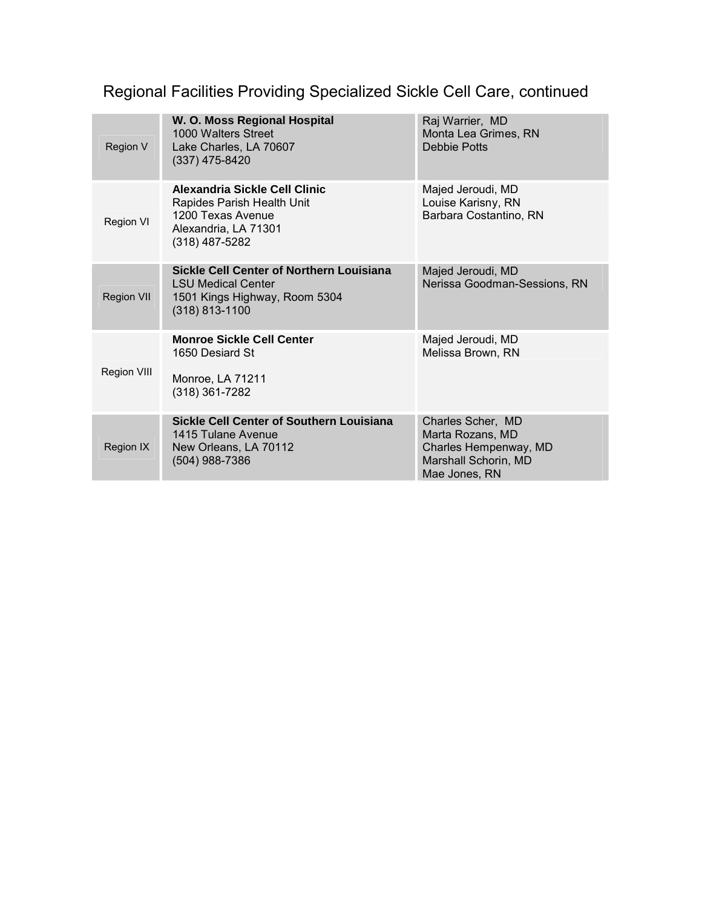# Regional Facilities Providing Specialized Sickle Cell Care, continued

| Region V          | W. O. Moss Regional Hospital<br>1000 Walters Street<br>Lake Charles, LA 70607<br>$(337)$ 475-8420                          | Raj Warrier, MD<br>Monta Lea Grimes, RN<br><b>Debbie Potts</b>                                          |
|-------------------|----------------------------------------------------------------------------------------------------------------------------|---------------------------------------------------------------------------------------------------------|
| Region VI         | Alexandria Sickle Cell Clinic<br>Rapides Parish Health Unit<br>1200 Texas Avenue<br>Alexandria, LA 71301<br>(318) 487-5282 | Majed Jeroudi, MD<br>Louise Karisny, RN<br>Barbara Costantino, RN                                       |
| <b>Region VII</b> | Sickle Cell Center of Northern Louisiana<br><b>LSU Medical Center</b><br>1501 Kings Highway, Room 5304<br>$(318)$ 813-1100 | Majed Jeroudi, MD<br>Nerissa Goodman-Sessions, RN                                                       |
| Region VIII       | <b>Monroe Sickle Cell Center</b><br>1650 Desiard St<br>Monroe, LA 71211<br>$(318)$ 361-7282                                | Majed Jeroudi, MD<br>Melissa Brown, RN                                                                  |
| Region IX         | Sickle Cell Center of Southern Louisiana<br>1415 Tulane Avenue<br>New Orleans, LA 70112<br>(504) 988-7386                  | Charles Scher, MD<br>Marta Rozans, MD<br>Charles Hempenway, MD<br>Marshall Schorin, MD<br>Mae Jones, RN |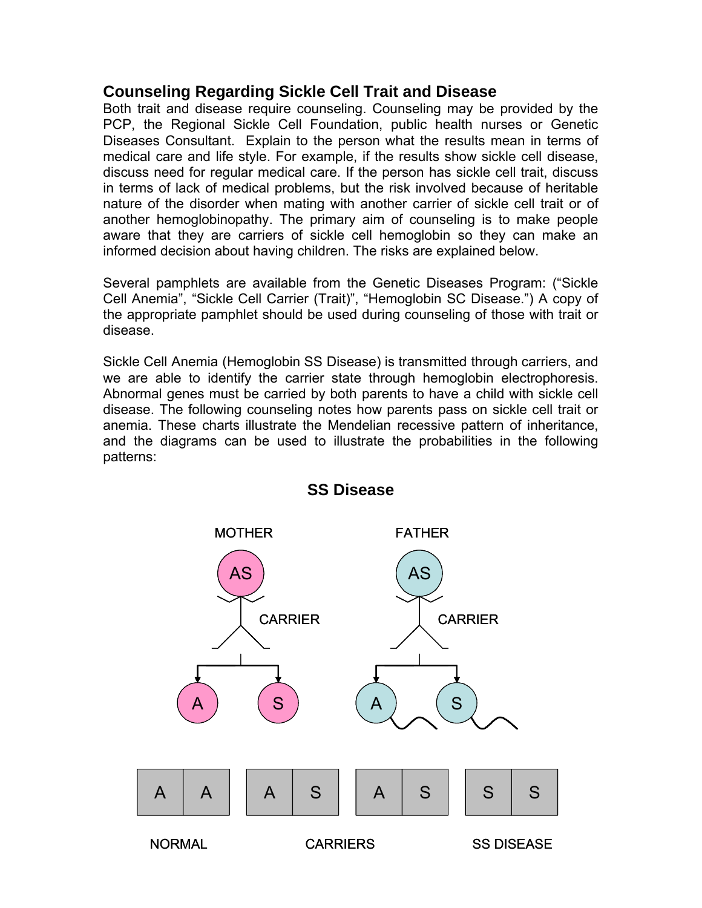## **Counseling Regarding Sickle Cell Trait and Disease**

Both trait and disease require counseling. Counseling may be provided by the PCP, the Regional Sickle Cell Foundation, public health nurses or Genetic Diseases Consultant. Explain to the person what the results mean in terms of medical care and life style. For example, if the results show sickle cell disease, discuss need for regular medical care. If the person has sickle cell trait, discuss in terms of lack of medical problems, but the risk involved because of heritable nature of the disorder when mating with another carrier of sickle cell trait or of another hemoglobinopathy. The primary aim of counseling is to make people aware that they are carriers of sickle cell hemoglobin so they can make an informed decision about having children. The risks are explained below.

Several pamphlets are available from the Genetic Diseases Program: ("Sickle Cell Anemia", "Sickle Cell Carrier (Trait)", "Hemoglobin SC Disease.") A copy of the appropriate pamphlet should be used during counseling of those with trait or disease.

Sickle Cell Anemia (Hemoglobin SS Disease) is transmitted through carriers, and we are able to identify the carrier state through hemoglobin electrophoresis. Abnormal genes must be carried by both parents to have a child with sickle cell disease. The following counseling notes how parents pass on sickle cell trait or anemia. These charts illustrate the Mendelian recessive pattern of inheritance, and the diagrams can be used to illustrate the probabilities in the following patterns:



### **SS Disease**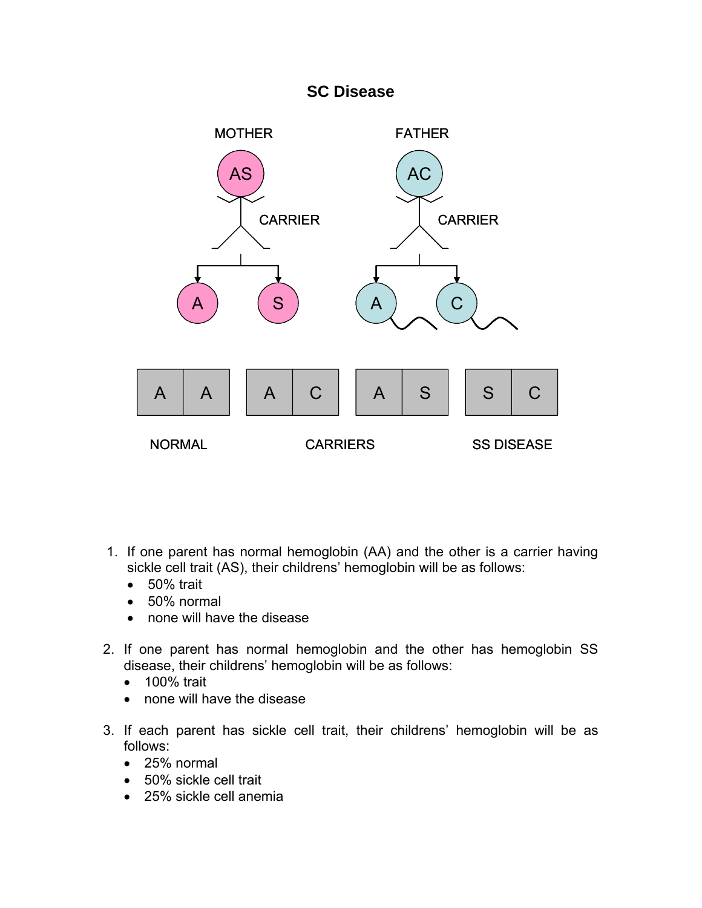# **SC Disease**



- 1. If one parent has normal hemoglobin (AA) and the other is a carrier having sickle cell trait (AS), their childrens' hemoglobin will be as follows:
	- 50% trait
	- 50% normal
	- none will have the disease
- 2. If one parent has normal hemoglobin and the other has hemoglobin SS disease, their childrens' hemoglobin will be as follows:
	- 100% trait
	- none will have the disease
- 3. If each parent has sickle cell trait, their childrens' hemoglobin will be as follows:
	- 25% normal
	- 50% sickle cell trait
	- 25% sickle cell anemia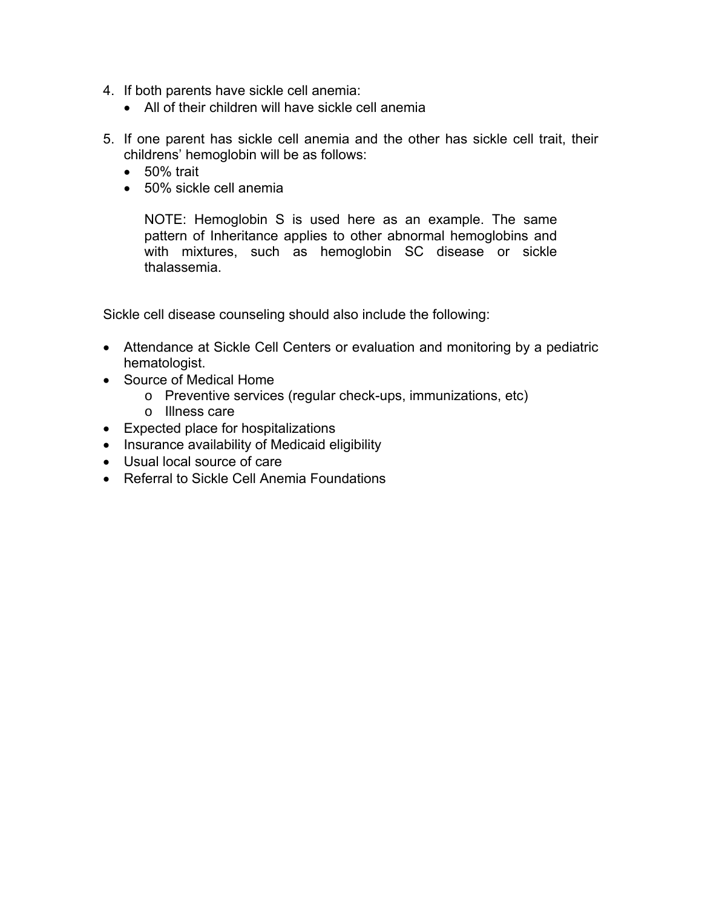- 4. If both parents have sickle cell anemia:
	- All of their children will have sickle cell anemia
- 5. If one parent has sickle cell anemia and the other has sickle cell trait, their childrens' hemoglobin will be as follows:
	- 50% trait
	- 50% sickle cell anemia

NOTE: Hemoglobin S is used here as an example. The same pattern of Inheritance applies to other abnormal hemoglobins and with mixtures, such as hemoglobin SC disease or sickle thalassemia.

Sickle cell disease counseling should also include the following:

- Attendance at Sickle Cell Centers or evaluation and monitoring by a pediatric hematologist.
- Source of Medical Home
	- o Preventive services (regular check-ups, immunizations, etc)
	- o Illness care
- Expected place for hospitalizations
- Insurance availability of Medicaid eligibility
- Usual local source of care
- Referral to Sickle Cell Anemia Foundations